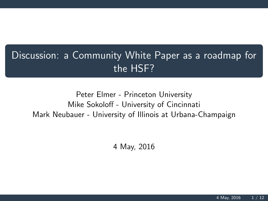## Discussion: a Community White Paper as a roadmap for the HSF?

## Peter Elmer - Princeton University Mike Sokoloff - University of Cincinnati Mark Neubauer - University of Illinois at Urbana-Champaign

4 May, 2016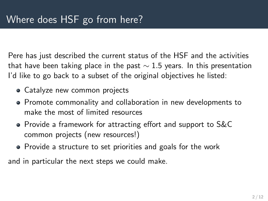Pere has just described the current status of the HSF and the activities that have been taking place in the past  $\sim$  1.5 years. In this presentation I'd like to go back to a subset of the original objectives he listed:

- Catalyze new common projects
- Promote commonality and collaboration in new developments to make the most of limited resources
- Provide a framework for attracting effort and support to S&C common projects (new resources!)
- Provide a structure to set priorities and goals for the work

and in particular the next steps we could make.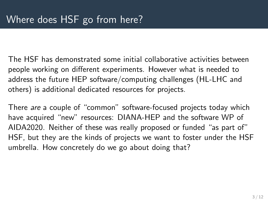The HSF has demonstrated some initial collaborative activities between people working on different experiments. However what is needed to address the future HEP software/computing challenges (HL-LHC and others) is additional dedicated resources for projects.

There are a couple of "common" software-focused projects today which have acquired "new" resources: DIANA-HEP and the software WP of AIDA2020. Neither of these was really proposed or funded "as part of" HSF, but they are the kinds of projects we want to foster under the HSF umbrella. How concretely do we go about doing that?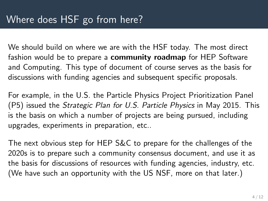We should build on where we are with the HSF today. The most direct fashion would be to prepare a **community roadmap** for HEP Software and Computing. This type of document of course serves as the basis for discussions with funding agencies and subsequent specific proposals.

For example, in the U.S. the Particle Physics Project Prioritization Panel (P5) issued the Strategic Plan for U.S. Particle Physics in May 2015. This is the basis on which a number of projects are being pursued, including upgrades, experiments in preparation, etc..

The next obvious step for HEP S&C to prepare for the challenges of the 2020s is to prepare such a community consensus document, and use it as the basis for discussions of resources with funding agencies, industry, etc. (We have such an opportunity with the US NSF, more on that later.)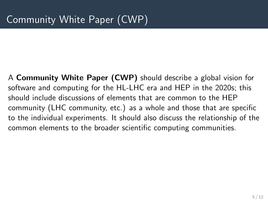A Community White Paper (CWP) should describe a global vision for software and computing for the HL-LHC era and HEP in the 2020s; this should include discussions of elements that are common to the HEP community (LHC community, etc.) as a whole and those that are specific to the individual experiments. It should also discuss the relationship of the common elements to the broader scientific computing communities.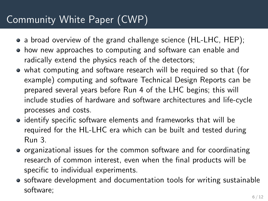## Community White Paper (CWP)

- a broad overview of the grand challenge science (HL-LHC, HEP);
- how new approaches to computing and software can enable and radically extend the physics reach of the detectors;
- what computing and software research will be required so that (for example) computing and software Technical Design Reports can be prepared several years before Run 4 of the LHC begins; this will include studies of hardware and software architectures and life-cycle processes and costs.
- identify specific software elements and frameworks that will be required for the HL-LHC era which can be built and tested during Run 3.
- organizational issues for the common software and for coordinating research of common interest, even when the final products will be specific to individual experiments.
- software development and documentation tools for writing sustainable software;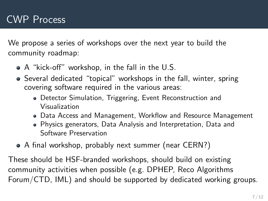We propose a series of workshops over the next year to build the community roadmap:

- A "kick-off" workshop, in the fall in the U.S.
- Several dedicated "topical" workshops in the fall, winter, spring covering software required in the various areas:
	- Detector Simulation, Triggering, Event Reconstruction and Visualization
	- Data Access and Management, Workflow and Resource Management
	- Physics generators, Data Analysis and Interpretation, Data and Software Preservation
- A final workshop, probably next summer (near CERN?)

These should be HSF-branded workshops, should build on existing community activities when possible (e.g. DPHEP, Reco Algorithms Forum/CTD, IML) and should be supported by dedicated working groups.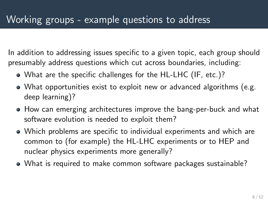In addition to addressing issues specific to a given topic, each group should presumably address questions which cut across boundaries, including:

- What are the specific challenges for the HL-LHC (IF, etc.)?
- What opportunities exist to exploit new or advanced algorithms (e.g. deep learning)?
- How can emerging architectures improve the bang-per-buck and what software evolution is needed to exploit them?
- Which problems are specific to individual experiments and which are common to (for example) the HL-LHC experiments or to HEP and nuclear physics experiments more generally?
- What is required to make common software packages sustainable?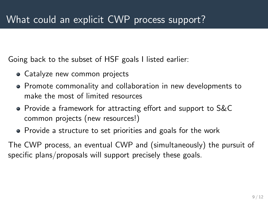Going back to the subset of HSF goals I listed earlier:

- Catalyze new common projects
- Promote commonality and collaboration in new developments to make the most of limited resources
- Provide a framework for attracting effort and support to S&C common projects (new resources!)
- Provide a structure to set priorities and goals for the work

The CWP process, an eventual CWP and (simultaneously) the pursuit of specific plans/proposals will support precisely these goals.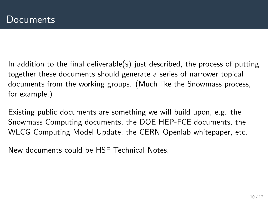In addition to the final deliverable(s) just described, the process of putting together these documents should generate a series of narrower topical documents from the working groups. (Much like the Snowmass process, for example.)

Existing public documents are something we will build upon, e.g. the Snowmass Computing documents, the DOE HEP-FCE documents, the WLCG Computing Model Update, the CERN Openlab whitepaper, etc.

New documents could be HSF Technical Notes.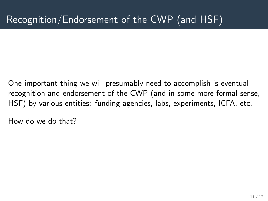One important thing we will presumably need to accomplish is eventual recognition and endorsement of the CWP (and in some more formal sense, HSF) by various entities: funding agencies, labs, experiments, ICFA, etc.

How do we do that?